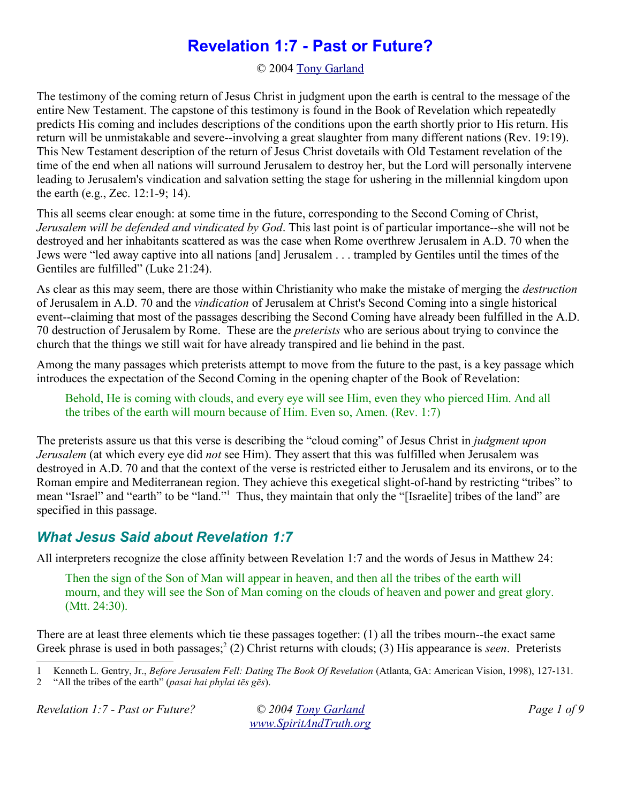# **Revelation 1:7 - Past or Future?**

© 2004 Tony Garland

The testimony of the coming return of Jesus Christ in judgment upon the earth is central to the message of the entire New Testament. The capstone of this testimony is found in the Book of Revelation which repeatedly predicts His coming and includes descriptions of the conditions upon the earth shortly prior to His return. His return will be unmistakable and severe--involving a great slaughter from many different nations (Rev. 19:19). This New Testament description of the return of Jesus Christ dovetails with Old Testament revelation of the time of the end when all nations will surround Jerusalem to destroy her, but the Lord will personally intervene leading to Jerusalem's vindication and salvation setting the stage for ushering in the millennial kingdom upon the earth (e.g., Zec. 12:1-9; 14).

This all seems clear enough: at some time in the future, corresponding to the Second Coming of Christ, *Jerusalem will be defended and vindicated by God*. This last point is of particular importance--she will not be destroyed and her inhabitants scattered as was the case when Rome overthrew Jerusalem in A.D. 70 when the Jews were "led away captive into all nations [and] Jerusalem . . . trampled by Gentiles until the times of the Gentiles are fulfilled" (Luke 21:24).

As clear as this may seem, there are those within Christianity who make the mistake of merging the *destruction* of Jerusalem in A.D. 70 and the *vindication* of Jerusalem at Christ's Second Coming into a single historical event--claiming that most of the passages describing the Second Coming have already been fulfilled in the A.D. 70 destruction of Jerusalem by Rome. These are the *preterists* who are serious about trying to convince the church that the things we still wait for have already transpired and lie behind in the past.

Among the many passages which preterists attempt to move from the future to the past, is a key passage which introduces the expectation of the Second Coming in the opening chapter of the Book of Revelation:

Behold, He is coming with clouds, and every eye will see Him, even they who pierced Him. And all the tribes of the earth will mourn because of Him. Even so, Amen. (Rev. 1:7)

The preterists assure us that this verse is describing the "cloud coming" of Jesus Christ in *judgment upon Jerusalem* (at which every eye did *not* see Him). They assert that this was fulfilled when Jerusalem was destroyed in A.D. 70 and that the context of the verse is restricted either to Jerusalem and its environs, or to the Roman empire and Mediterranean region. They achieve this exegetical slight-of-hand by restricting "tribes" to mean "Israel" and "earth" to be "land."<sup>1</sup> Thus, they maintain that only the "[Israelite] tribes of the land" are specified in this passage.

#### *What Jesus Said about Revelation 1:7*

All interpreters recognize the close affinity between Revelation 1:7 and the words of Jesus in Matthew 24:

Then the sign of the Son of Man will appear in heaven, and then all the tribes of the earth will mourn, and they will see the Son of Man coming on the clouds of heaven and power and great glory. (Mtt. 24:30).

There are at least three elements which tie these passages together: (1) all the tribes mourn--the exact same Greek phrase is used in both passages;<sup>2</sup> (2) Christ returns with clouds; (3) His appearance is *seen*. Preterists

1 Kenneth L. Gentry, Jr., *Before Jerusalem Fell: Dating The Book Of Revelation* (Atlanta, GA: American Vision, 1998), 127-131.<br><sup>2</sup> "All the tribes of the earth" (*nasai hai phylai tēs gēs*).

*Revelation 1:7 - Past or Future? © 2004 Tony Garland Page 1 of 9*

<sup>2 &</sup>quot;All the tribes of the earth" (*pasai hai phylai tēs gēs*).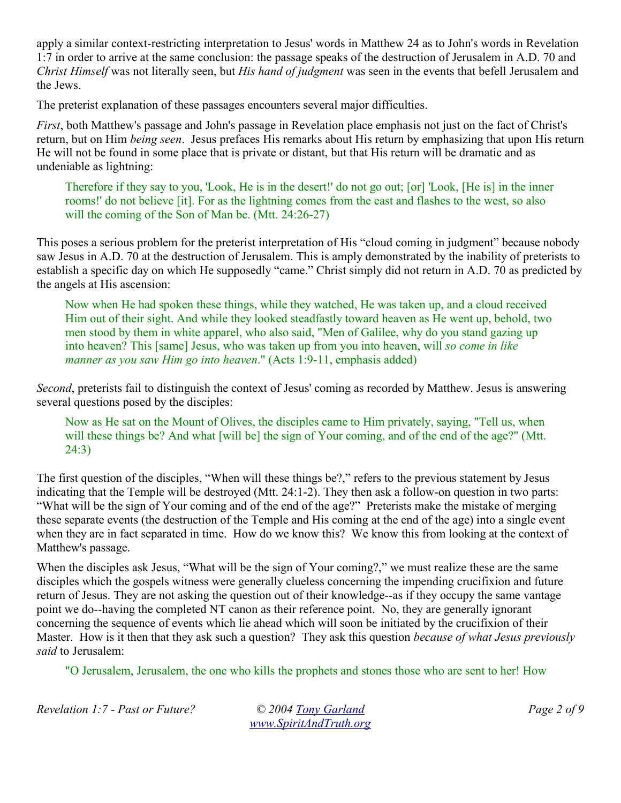apply a similar context-restricting interpretation to Jesus' words in Matthew 24 as to John's words in Revelation 1:7 in order to arrive at the same conclusion: the passage speaks of the destruction of Jerusalem in A.D. 70 and *Christ Himself* was not literally seen, but *His hand of judgment* was seen in the events that befell Jerusalem and the Jews.

The preterist explanation of these passages encounters several major difficulties.

*First*, both Matthew's passage and John's passage in Revelation place emphasis not just on the fact of Christ's return, but on Him *being seen*. Jesus prefaces His remarks about His return by emphasizing that upon His return He will not be found in some place that is private or distant, but that His return will be dramatic and as undeniable as lightning:

Therefore if they say to you, 'Look, He is in the desert!' do not go out; [or] 'Look, [He is] in the inner rooms!' do not believe [it]. For as the lightning comes from the east and flashes to the west, so also will the coming of the Son of Man be. (Mtt. 24:26-27)

This poses a serious problem for the preterist interpretation of His "cloud coming in judgment" because nobody saw Jesus in A.D. 70 at the destruction of Jerusalem. This is amply demonstrated by the inability of preterists to establish a specific day on which He supposedly "came." Christ simply did not return in A.D. 70 as predicted by the angels at His ascension:

Now when He had spoken these things, while they watched, He was taken up, and a cloud received Him out of their sight. And while they looked steadfastly toward heaven as He went up, behold, two men stood by them in white apparel, who also said, "Men of Galilee, why do you stand gazing up into heaven? This [same] Jesus, who was taken up from you into heaven, will *so come in like manner as you saw Him go into heaven*." (Acts 1:9-11, emphasis added)

*Second*, preterists fail to distinguish the context of Jesus' coming as recorded by Matthew. Jesus is answering several questions posed by the disciples:

Now as He sat on the Mount of Olives, the disciples came to Him privately, saying, "Tell us, when will these things be? And what [will be] the sign of Your coming, and of the end of the age?" (Mtt. 24:3)

The first question of the disciples, "When will these things be?," refers to the previous statement by Jesus indicating that the Temple will be destroyed (Mtt. 24:1-2). They then ask a follow-on question in two parts: "What will be the sign of Your coming and of the end of the age?" Preterists make the mistake of merging these separate events (the destruction of the Temple and His coming at the end of the age) into a single event when they are in fact separated in time. How do we know this? We know this from looking at the context of Matthew's passage.

When the disciples ask Jesus, "What will be the sign of Your coming?," we must realize these are the same disciples which the gospels witness were generally clueless concerning the impending crucifixion and future return of Jesus. They are not asking the question out of their knowledge--as if they occupy the same vantage point we do--having the completed NT canon as their reference point. No, they are generally ignorant concerning the sequence of events which lie ahead which will soon be initiated by the crucifixion of their Master. How is it then that they ask such a question? They ask this question *because of what Jesus previously said* to Jerusalem:

"O Jerusalem, Jerusalem, the one who kills the prophets and stones those who are sent to her! How

*Revelation 1:7 - Past or Future? © 2004 Tony Garland Page 2 of 9*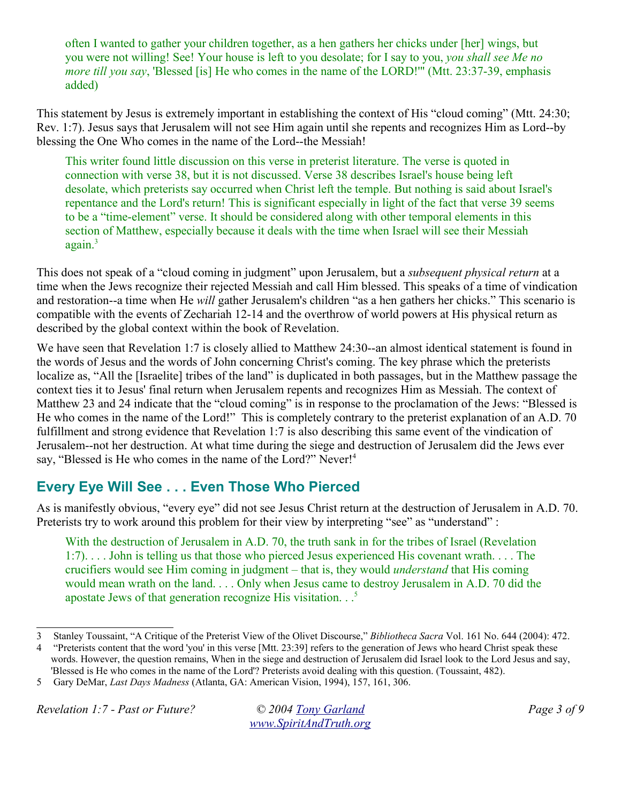often I wanted to gather your children together, as a hen gathers her chicks under [her] wings, but you were not willing! See! Your house is left to you desolate; for I say to you, *you shall see Me no more till you say*, 'Blessed [is] He who comes in the name of the LORD!'" (Mtt. 23:37-39, emphasis added)

This statement by Jesus is extremely important in establishing the context of His "cloud coming" (Mtt. 24:30; Rev. 1:7). Jesus says that Jerusalem will not see Him again until she repents and recognizes Him as Lord--by blessing the One Who comes in the name of the Lord--the Messiah!

This writer found little discussion on this verse in preterist literature. The verse is quoted in connection with verse 38, but it is not discussed. Verse 38 describes Israel's house being left desolate, which preterists say occurred when Christ left the temple. But nothing is said about Israel's repentance and the Lord's return! This is significant especially in light of the fact that verse 39 seems to be a "time-element" verse. It should be considered along with other temporal elements in this section of Matthew, especially because it deals with the time when Israel will see their Messiah  $a$ gain. $3$ 

This does not speak of a "cloud coming in judgment" upon Jerusalem, but a *subsequent physical return* at a time when the Jews recognize their rejected Messiah and call Him blessed. This speaks of a time of vindication and restoration--a time when He *will* gather Jerusalem's children "as a hen gathers her chicks." This scenario is compatible with the events of Zechariah 12-14 and the overthrow of world powers at His physical return as described by the global context within the book of Revelation.

We have seen that Revelation 1:7 is closely allied to Matthew 24:30--an almost identical statement is found in the words of Jesus and the words of John concerning Christ's coming. The key phrase which the preterists localize as, "All the [Israelite] tribes of the land" is duplicated in both passages, but in the Matthew passage the context ties it to Jesus' final return when Jerusalem repents and recognizes Him as Messiah. The context of Matthew 23 and 24 indicate that the "cloud coming" is in response to the proclamation of the Jews: "Blessed is He who comes in the name of the Lord!" This is completely contrary to the preterist explanation of an A.D. 70 fulfillment and strong evidence that Revelation 1:7 is also describing this same event of the vindication of Jerusalem--not her destruction. At what time during the siege and destruction of Jerusalem did the Jews ever say, "Blessed is He who comes in the name of the Lord?" Never!<sup>4</sup>

# **Every Eye Will See . . . Even Those Who Pierced**

As is manifestly obvious, "every eye" did not see Jesus Christ return at the destruction of Jerusalem in A.D. 70. Preterists try to work around this problem for their view by interpreting "see" as "understand" :

With the destruction of Jerusalem in A.D. 70, the truth sank in for the tribes of Israel (Revelation 1:7). . . . John is telling us that those who pierced Jesus experienced His covenant wrath. . . . The crucifiers would see Him coming in judgment – that is, they would *understand* that His coming would mean wrath on the land. . . . Only when Jesus came to destroy Jerusalem in A.D. 70 did the apostate Jews of that generation recognize His visitation. . .<sup>5</sup>

*Revelation 1:7 - Past or Future? © 2004 Tony Garland Page 3 of 9*

<sup>3</sup> Stanley Toussaint, "A Critique of the Preterist View of the Olivet Discourse," *Bibliotheca Sacra* Vol. 161 No. 644 (2004): 472.

<sup>4 &</sup>quot;Preterists content that the word 'you' in this verse [Mtt. 23:39] refers to the generation of Jews who heard Christ speak these

words. However, the question remains, When in the siege and destruction of Jerusalem did Israel look to the Lord Jesus and say,

<sup>&#</sup>x27;Blessed is He who comes in the name of the Lord'? Preterists avoid dealing with this question. (Toussaint, 482).

<sup>5</sup> Gary DeMar, *Last Days Madness* (Atlanta, GA: American Vision, 1994), 157, 161, 306.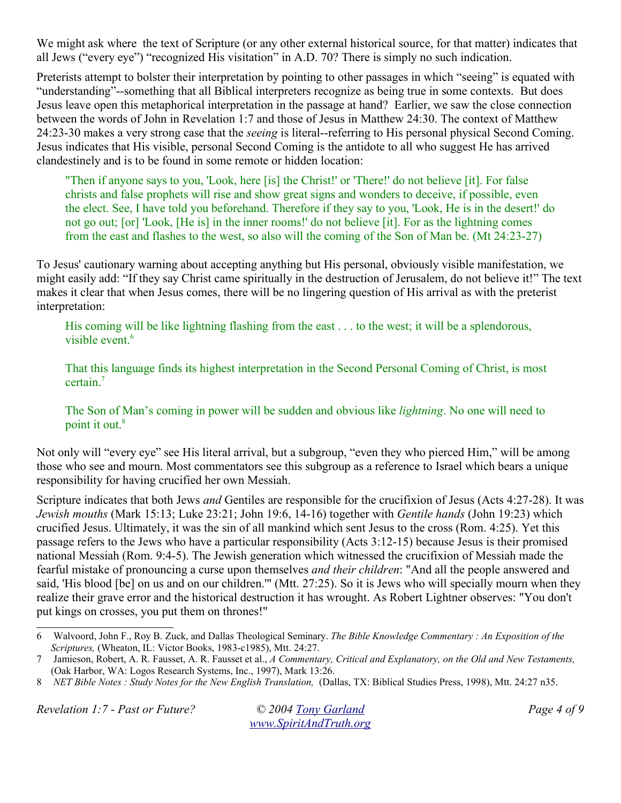We might ask where the text of Scripture (or any other external historical source, for that matter) indicates that all Jews ("every eye") "recognized His visitation" in A.D. 70? There is simply no such indication.

Preterists attempt to bolster their interpretation by pointing to other passages in which "seeing" is equated with "understanding"--something that all Biblical interpreters recognize as being true in some contexts. But does Jesus leave open this metaphorical interpretation in the passage at hand? Earlier, we saw the close connection between the words of John in Revelation 1:7 and those of Jesus in Matthew 24:30. The context of Matthew 24:23-30 makes a very strong case that the *seeing* is literal--referring to His personal physical Second Coming. Jesus indicates that His visible, personal Second Coming is the antidote to all who suggest He has arrived clandestinely and is to be found in some remote or hidden location:

"Then if anyone says to you, 'Look, here [is] the Christ!' or 'There!' do not believe [it]. For false christs and false prophets will rise and show great signs and wonders to deceive, if possible, even the elect. See, I have told you beforehand. Therefore if they say to you, 'Look, He is in the desert!' do not go out; [or] 'Look, [He is] in the inner rooms!' do not believe [it]. For as the lightning comes from the east and flashes to the west, so also will the coming of the Son of Man be. (Mt 24:23-27)

To Jesus' cautionary warning about accepting anything but His personal, obviously visible manifestation, we might easily add: "If they say Christ came spiritually in the destruction of Jerusalem, do not believe it!" The text makes it clear that when Jesus comes, there will be no lingering question of His arrival as with the preterist interpretation:

His coming will be like lightning flashing from the east . . . to the west; it will be a splendorous, visible event.<sup>6</sup>

That this language finds its highest interpretation in the Second Personal Coming of Christ, is most certain.<sup>7</sup>

The Son of Man's coming in power will be sudden and obvious like *lightning*. No one will need to point it out.<sup>8</sup>

Not only will "every eye" see His literal arrival, but a subgroup, "even they who pierced Him," will be among those who see and mourn. Most commentators see this subgroup as a reference to Israel which bears a unique responsibility for having crucified her own Messiah.

Scripture indicates that both Jews *and* Gentiles are responsible for the crucifixion of Jesus (Acts 4:27-28). It was *Jewish mouths* (Mark 15:13; Luke 23:21; John 19:6, 14-16) together with *Gentile hands* (John 19:23) which crucified Jesus. Ultimately, it was the sin of all mankind which sent Jesus to the cross (Rom. 4:25). Yet this passage refers to the Jews who have a particular responsibility (Acts 3:12-15) because Jesus is their promised national Messiah (Rom. 9:4-5). The Jewish generation which witnessed the crucifixion of Messiah made the fearful mistake of pronouncing a curse upon themselves *and their children*: "And all the people answered and said, 'His blood [be] on us and on our children.'" (Mtt. 27:25). So it is Jews who will specially mourn when they realize their grave error and the historical destruction it has wrought. As Robert Lightner observes: "You don't put kings on crosses, you put them on thrones!"

*Revelation 1:7 - Past or Future? © 2004 Tony Garland Page 4 of 9*

<sup>6</sup> Walvoord, John F., Roy B. Zuck, and Dallas Theological Seminary. *The Bible Knowledge Commentary : An Exposition of the Scriptures,* (Wheaton, IL: Victor Books, 1983-c1985), Mtt. 24:27.

<sup>7</sup> Jamieson, Robert, A. R. Fausset, A. R. Fausset et al., *A Commentary, Critical and Explanatory, on the Old and New Testaments,* (Oak Harbor, WA: Logos Research Systems, Inc., 1997), Mark 13:26.

<sup>8</sup> *NET Bible Notes : Study Notes for the New English Translation,* (Dallas, TX: Biblical Studies Press, 1998), Mtt. 24:27 n35.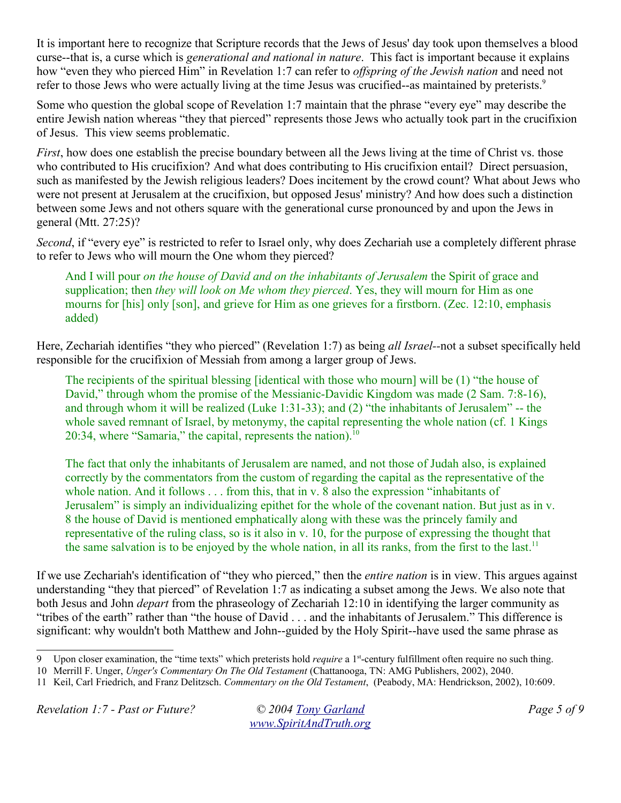It is important here to recognize that Scripture records that the Jews of Jesus' day took upon themselves a blood curse--that is, a curse which is *generational and national in nature*. This fact is important because it explains how "even they who pierced Him" in Revelation 1:7 can refer to *offspring of the Jewish nation* and need not refer to those Jews who were actually living at the time Jesus was crucified--as maintained by preterists.<sup>9</sup>

Some who question the global scope of Revelation 1:7 maintain that the phrase "every eye" may describe the entire Jewish nation whereas "they that pierced" represents those Jews who actually took part in the crucifixion of Jesus. This view seems problematic.

*First*, how does one establish the precise boundary between all the Jews living at the time of Christ vs. those who contributed to His crucifixion? And what does contributing to His crucifixion entail? Direct persuasion, such as manifested by the Jewish religious leaders? Does incitement by the crowd count? What about Jews who were not present at Jerusalem at the crucifixion, but opposed Jesus' ministry? And how does such a distinction between some Jews and not others square with the generational curse pronounced by and upon the Jews in general (Mtt. 27:25)?

*Second*, if "every eye" is restricted to refer to Israel only, why does Zechariah use a completely different phrase to refer to Jews who will mourn the One whom they pierced?

And I will pour *on the house of David and on the inhabitants of Jerusalem* the Spirit of grace and supplication; then *they will look on Me whom they pierced*. Yes, they will mourn for Him as one mourns for [his] only [son], and grieve for Him as one grieves for a firstborn. (Zec. 12:10, emphasis added)

Here, Zechariah identifies "they who pierced" (Revelation 1:7) as being *all Israel--*not a subset specifically held responsible for the crucifixion of Messiah from among a larger group of Jews.

The recipients of the spiritual blessing [identical with those who mourn] will be (1) "the house of David," through whom the promise of the Messianic-Davidic Kingdom was made (2 Sam. 7:8-16), and through whom it will be realized (Luke 1:31-33); and (2) "the inhabitants of Jerusalem" -- the whole saved remnant of Israel, by metonymy, the capital representing the whole nation (cf. 1 Kings 20:34, where "Samaria," the capital, represents the nation). $10$ 

The fact that only the inhabitants of Jerusalem are named, and not those of Judah also, is explained correctly by the commentators from the custom of regarding the capital as the representative of the whole nation. And it follows . . . from this, that in v. 8 also the expression "inhabitants of Jerusalem" is simply an individualizing epithet for the whole of the covenant nation. But just as in v. 8 the house of David is mentioned emphatically along with these was the princely family and representative of the ruling class, so is it also in v. 10, for the purpose of expressing the thought that the same salvation is to be enjoyed by the whole nation, in all its ranks, from the first to the last.<sup>11</sup>

If we use Zechariah's identification of "they who pierced," then the *entire nation* is in view. This argues against understanding "they that pierced" of Revelation 1:7 as indicating a subset among the Jews. We also note that both Jesus and John *depart* from the phraseology of Zechariah 12:10 in identifying the larger community as "tribes of the earth" rather than "the house of David . . . and the inhabitants of Jerusalem." This difference is significant: why wouldn't both Matthew and John--guided by the Holy Spirit--have used the same phrase as

*Revelation 1:7 - Past or Future? © 2004 Tony Garland Page 5 of 9*

<sup>9</sup> Upon closer examination, the "time texts" which preterists hold *require* a 1st-century fulfillment often require no such thing.

<sup>10</sup> Merrill F. Unger, *Unger's Commentary On The Old Testament* (Chattanooga, TN: AMG Publishers, 2002), 2040.

<sup>11</sup> Keil, Carl Friedrich, and Franz Delitzsch. *Commentary on the Old Testament*, (Peabody, MA: Hendrickson, 2002), 10:609.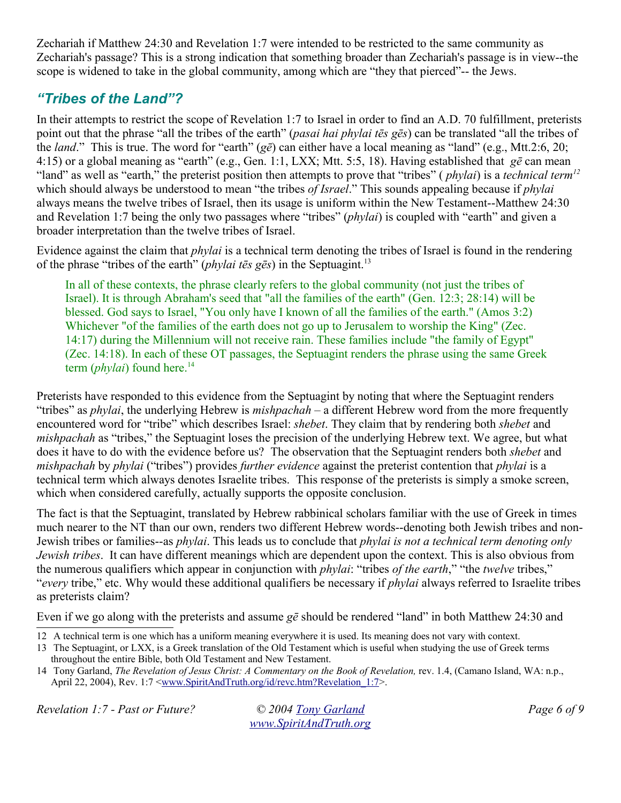Zechariah if Matthew 24:30 and Revelation 1:7 were intended to be restricted to the same community as Zechariah's passage? This is a strong indication that something broader than Zechariah's passage is in view--the scope is widened to take in the global community, among which are "they that pierced"-- the Jews.

## *"Tribes of the Land"?*

In their attempts to restrict the scope of Revelation 1:7 to Israel in order to find an A.D. 70 fulfillment, preterists point out that the phrase "all the tribes of the earth" (*pasai hai phylai tēs gēs*) can be translated "all the tribes of the *land*." This is true. The word for "earth" (*gē*) can either have a local meaning as "land" (e.g., Mtt.2:6, 20; 4:15) or a global meaning as "earth" (e.g., Gen. 1:1, LXX; Mtt. 5:5, 18). Having established that *gē* can mean "land" as well as "earth," the preterist position then attempts to prove that "tribes" ( *phylai*) is a *technical term<sup>12</sup>* which should always be understood to mean "the tribes *of Israel*." This sounds appealing because if *phylai* always means the twelve tribes of Israel, then its usage is uniform within the New Testament--Matthew 24:30 and Revelation 1:7 being the only two passages where "tribes" (*phylai*) is coupled with "earth" and given a broader interpretation than the twelve tribes of Israel.

Evidence against the claim that *phylai* is a technical term denoting the tribes of Israel is found in the rendering of the phrase "tribes of the earth" (*phylai tēs gēs*) in the Septuagint.<sup>13</sup>

In all of these contexts, the phrase clearly refers to the global community (not just the tribes of Israel). It is through Abraham's seed that "all the families of the earth" (Gen. 12:3; 28:14) will be blessed. God says to Israel, "You only have I known of all the families of the earth." (Amos 3:2) Whichever "of the families of the earth does not go up to Jerusalem to worship the King" (Zec. 14:17) during the Millennium will not receive rain. These families include "the family of Egypt" (Zec. 14:18). In each of these OT passages, the Septuagint renders the phrase using the same Greek term *(phylai)* found here.<sup>14</sup>

Preterists have responded to this evidence from the Septuagint by noting that where the Septuagint renders "tribes" as *phylai*, the underlying Hebrew is *mishpachah* – a different Hebrew word from the more frequently encountered word for "tribe" which describes Israel: *shebet*. They claim that by rendering both *shebet* and *mishpachah* as "tribes," the Septuagint loses the precision of the underlying Hebrew text. We agree, but what does it have to do with the evidence before us? The observation that the Septuagint renders both *shebet* and *mishpachah* by *phylai* ("tribes") provides *further evidence* against the preterist contention that *phylai* is a technical term which always denotes Israelite tribes. This response of the preterists is simply a smoke screen, which when considered carefully, actually supports the opposite conclusion.

The fact is that the Septuagint, translated by Hebrew rabbinical scholars familiar with the use of Greek in times much nearer to the NT than our own, renders two different Hebrew words--denoting both Jewish tribes and non-Jewish tribes or families--as *phylai*. This leads us to conclude that *phylai is not a technical term denoting only Jewish tribes*. It can have different meanings which are dependent upon the context. This is also obvious from the numerous qualifiers which appear in conjunction with *phylai*: "tribes *of the earth*," "the *twelve* tribes," "*every* tribe," etc. Why would these additional qualifiers be necessary if *phylai* always referred to Israelite tribes as preterists claim?

Even if we go along with the preterists and assume *gē* should be rendered "land" in both Matthew 24:30 and

*Revelation 1:7 - Past or Future? © 2004 Tony Garland Page 6 of 9*

<sup>12</sup> A technical term is one which has a uniform meaning everywhere it is used. Its meaning does not vary with context.

<sup>13</sup> The Septuagint, or LXX, is a Greek translation of the Old Testament which is useful when studying the use of Greek terms throughout the entire Bible, both Old Testament and New Testament.

<sup>14</sup> Tony Garland, *The Revelation of Jesus Christ: A Commentary on the Book of Revelation,* rev. 1.4, (Camano Island, WA: n.p., April 22, 2004), Rev. 1:7 <www.SpiritAndTruth.org/id/revc.htm?Revelation\_1:7>.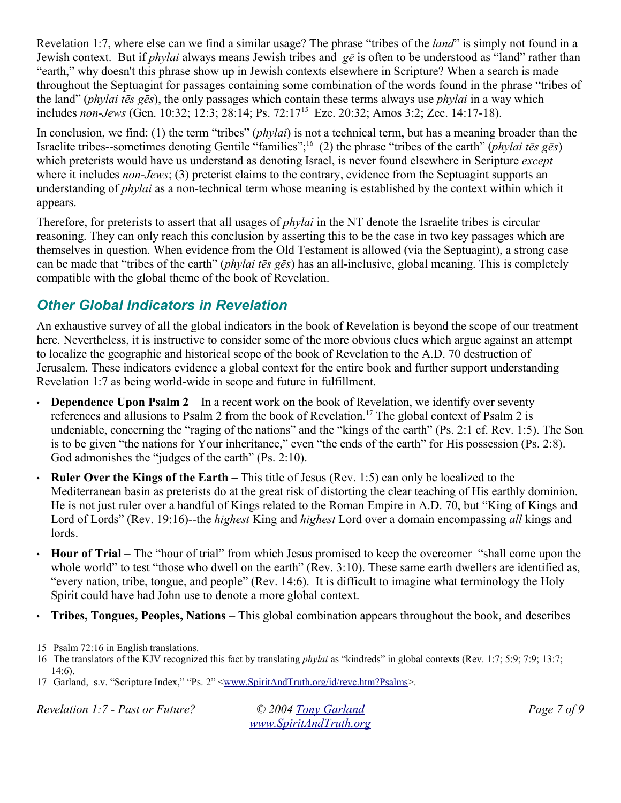Revelation 1:7, where else can we find a similar usage? The phrase "tribes of the *land*" is simply not found in a Jewish context. But if *phylai* always means Jewish tribes and *gē* is often to be understood as "land" rather than "earth," why doesn't this phrase show up in Jewish contexts elsewhere in Scripture? When a search is made throughout the Septuagint for passages containing some combination of the words found in the phrase "tribes of the land" (*phylai tēs gēs*), the only passages which contain these terms always use *phylai* in a way which includes *non-Jews* (Gen. 10:32; 12:3; 28:14; Ps. 72:17<sup>15</sup> Eze. 20:32; Amos 3:2; Zec. 14:17-18).

In conclusion, we find: (1) the term "tribes" (*phylai*) is not a technical term, but has a meaning broader than the Israelite tribes--sometimes denoting Gentile "families";<sup>16</sup> (2) the phrase "tribes of the earth" (*phylai tēs gēs*) which preterists would have us understand as denoting Israel, is never found elsewhere in Scripture *except* where it includes *non-Jews*; (3) preterist claims to the contrary, evidence from the Septuagint supports an understanding of *phylai* as a non-technical term whose meaning is established by the context within which it appears.

Therefore, for preterists to assert that all usages of *phylai* in the NT denote the Israelite tribes is circular reasoning. They can only reach this conclusion by asserting this to be the case in two key passages which are themselves in question. When evidence from the Old Testament is allowed (via the Septuagint), a strong case can be made that "tribes of the earth" (*phylai tēs gēs*) has an all-inclusive, global meaning. This is completely compatible with the global theme of the book of Revelation.

### *Other Global Indicators in Revelation*

An exhaustive survey of all the global indicators in the book of Revelation is beyond the scope of our treatment here. Nevertheless, it is instructive to consider some of the more obvious clues which argue against an attempt to localize the geographic and historical scope of the book of Revelation to the A.D. 70 destruction of Jerusalem. These indicators evidence a global context for the entire book and further support understanding Revelation 1:7 as being world-wide in scope and future in fulfillment.

- **Dependence Upon Psalm 2** In a recent work on the book of Revelation, we identify over seventy references and allusions to Psalm 2 from the book of Revelation.<sup>17</sup> The global context of Psalm 2 is undeniable, concerning the "raging of the nations" and the "kings of the earth" (Ps. 2:1 cf. Rev. 1:5). The Son is to be given "the nations for Your inheritance," even "the ends of the earth" for His possession (Ps. 2:8). God admonishes the "judges of the earth" (Ps. 2:10).
- **Ruler Over the Kings of the Earth** *–* This title of Jesus (Rev. 1:5) can only be localized to the Mediterranean basin as preterists do at the great risk of distorting the clear teaching of His earthly dominion. He is not just ruler over a handful of Kings related to the Roman Empire in A.D. 70, but "King of Kings and Lord of Lords" (Rev. 19:16)--the *highest* King and *highest* Lord over a domain encompassing *all* kings and lords.
- **Hour of Trial** The "hour of trial" from which Jesus promised to keep the overcomer "shall come upon the whole world" to test "those who dwell on the earth" (Rev. 3:10). These same earth dwellers are identified as, "every nation, tribe, tongue, and people" (Rev. 14:6). It is difficult to imagine what terminology the Holy Spirit could have had John use to denote a more global context.
- **Tribes, Tongues, Peoples, Nations** This global combination appears throughout the book, and describes

*Revelation 1:7 - Past or Future? © 2004 Tony Garland Page 7 of 9*

<sup>15</sup> Psalm 72:16 in English translations.

<sup>16</sup> The translators of the KJV recognized this fact by translating *phylai* as "kindreds" in global contexts (Rev. 1:7; 5:9; 7:9; 13:7; 14:6).

<sup>17</sup> Garland, s.v. "Scripture Index," "Ps. 2" <www.SpiritAndTruth.org/id/revc.htm?Psalms>.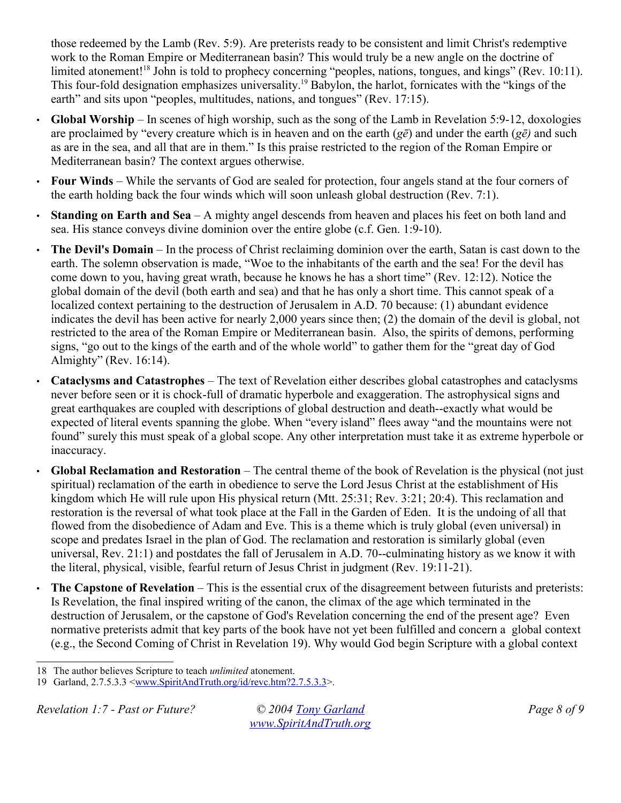those redeemed by the Lamb (Rev. 5:9). Are preterists ready to be consistent and limit Christ's redemptive work to the Roman Empire or Mediterranean basin? This would truly be a new angle on the doctrine of limited atonement!<sup>18</sup> John is told to prophecy concerning "peoples, nations, tongues, and kings" (Rev. 10:11). This four-fold designation emphasizes universality.<sup>19</sup> Babylon, the harlot, fornicates with the "kings of the earth" and sits upon "peoples, multitudes, nations, and tongues" (Rev. 17:15).

- **Global Worship** In scenes of high worship, such as the song of the Lamb in Revelation 5:9-12, doxologies are proclaimed by "every creature which is in heaven and on the earth (*gē*) and under the earth (*gē)* and such as are in the sea, and all that are in them." Is this praise restricted to the region of the Roman Empire or Mediterranean basin? The context argues otherwise.
- **Four Winds** While the servants of God are sealed for protection, four angels stand at the four corners of the earth holding back the four winds which will soon unleash global destruction (Rev. 7:1).
- **Standing on Earth and Sea** A mighty angel descends from heaven and places his feet on both land and sea. His stance conveys divine dominion over the entire globe (c.f. Gen. 1:9-10).
- **The Devil's Domain** In the process of Christ reclaiming dominion over the earth, Satan is cast down to the earth. The solemn observation is made, "Woe to the inhabitants of the earth and the sea! For the devil has come down to you, having great wrath, because he knows he has a short time" (Rev. 12:12). Notice the global domain of the devil (both earth and sea) and that he has only a short time. This cannot speak of a localized context pertaining to the destruction of Jerusalem in A.D. 70 because: (1) abundant evidence indicates the devil has been active for nearly 2,000 years since then; (2) the domain of the devil is global, not restricted to the area of the Roman Empire or Mediterranean basin. Also, the spirits of demons, performing signs, "go out to the kings of the earth and of the whole world" to gather them for the "great day of God Almighty" (Rev. 16:14).
- **Cataclysms and Catastrophes** The text of Revelation either describes global catastrophes and cataclysms never before seen or it is chock-full of dramatic hyperbole and exaggeration. The astrophysical signs and great earthquakes are coupled with descriptions of global destruction and death--exactly what would be expected of literal events spanning the globe. When "every island" flees away "and the mountains were not found" surely this must speak of a global scope. Any other interpretation must take it as extreme hyperbole or inaccuracy.
- **Global Reclamation and Restoration** The central theme of the book of Revelation is the physical (not just spiritual) reclamation of the earth in obedience to serve the Lord Jesus Christ at the establishment of His kingdom which He will rule upon His physical return (Mtt. 25:31; Rev. 3:21; 20:4). This reclamation and restoration is the reversal of what took place at the Fall in the Garden of Eden. It is the undoing of all that flowed from the disobedience of Adam and Eve. This is a theme which is truly global (even universal) in scope and predates Israel in the plan of God. The reclamation and restoration is similarly global (even universal, Rev. 21:1) and postdates the fall of Jerusalem in A.D. 70--culminating history as we know it with the literal, physical, visible, fearful return of Jesus Christ in judgment (Rev. 19:11-21).
- **The Capstone of Revelation** This is the essential crux of the disagreement between futurists and preterists: Is Revelation, the final inspired writing of the canon, the climax of the age which terminated in the destruction of Jerusalem, or the capstone of God's Revelation concerning the end of the present age? Even normative preterists admit that key parts of the book have not yet been fulfilled and concern a global context (e.g., the Second Coming of Christ in Revelation 19). Why would God begin Scripture with a global context

<sup>18</sup> The author believes Scripture to teach *unlimited* atonement.

<sup>19</sup> Garland, 2.7.5.3.3 <www.SpiritAndTruth.org/id/revc.htm?2.7.5.3.3>.